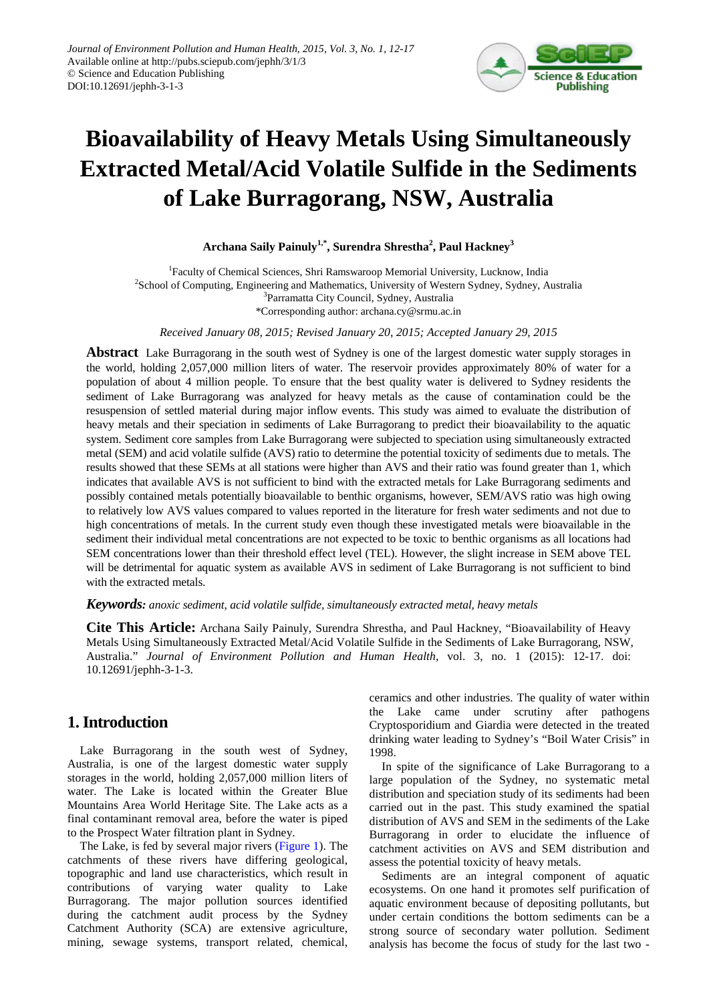

# **Bioavailability of Heavy Metals Using Simultaneously Extracted Metal/Acid Volatile Sulfide in the Sediments of Lake Burragorang, NSW, Australia**

**Archana Saily Painuly1,\* , Surendra Shrestha<sup>2</sup> , Paul Hackney<sup>3</sup>**

<sup>1</sup>Faculty of Chemical Sciences, Shri Ramswaroop Memorial University, Lucknow, India <sup>2</sup>School of Computing, Engineering and Mathematics, University of Western Sydney, Sydney, Australia <sup>3</sup>Parramatta City Council, Sydney, Australia \*Corresponding author: archana.cy@srmu.ac.in

*Received January 08, 2015; Revised January 20, 2015; Accepted January 29, 2015*

**Abstract** Lake Burragorang in the south west of Sydney is one of the largest domestic water supply storages in the world, holding 2,057,000 million liters of water. The reservoir provides approximately 80% of water for a population of about 4 million people. To ensure that the best quality water is delivered to Sydney residents the sediment of Lake Burragorang was analyzed for heavy metals as the cause of contamination could be the resuspension of settled material during major inflow events. This study was aimed to evaluate the distribution of heavy metals and their speciation in sediments of Lake Burragorang to predict their bioavailability to the aquatic system. Sediment core samples from Lake Burragorang were subjected to speciation using simultaneously extracted metal (SEM) and acid volatile sulfide (AVS) ratio to determine the potential toxicity of sediments due to metals. The results showed that these SEMs at all stations were higher than AVS and their ratio was found greater than 1, which indicates that available AVS is not sufficient to bind with the extracted metals for Lake Burragorang sediments and possibly contained metals potentially bioavailable to benthic organisms, however, SEM/AVS ratio was high owing to relatively low AVS values compared to values reported in the literature for fresh water sediments and not due to high concentrations of metals. In the current study even though these investigated metals were bioavailable in the sediment their individual metal concentrations are not expected to be toxic to benthic organisms as all locations had SEM concentrations lower than their threshold effect level (TEL). However, the slight increase in SEM above TEL will be detrimental for aquatic system as available AVS in sediment of Lake Burragorang is not sufficient to bind with the extracted metals.

#### *Keywords: anoxic sediment, acid volatile sulfide, simultaneously extracted metal, heavy metals*

**Cite This Article:** Archana Saily Painuly, Surendra Shrestha, and Paul Hackney, "Bioavailability of Heavy Metals Using Simultaneously Extracted Metal/Acid Volatile Sulfide in the Sediments of Lake Burragorang, NSW, Australia." *Journal of Environment Pollution and Human Health*, vol. 3, no. 1 (2015): 12-17. doi: 10.12691/jephh-3-1-3.

# **1. Introduction**

Lake Burragorang in the south west of Sydney, Australia, is one of the largest domestic water supply storages in the world, holding 2,057,000 million liters of water. The Lake is located within the Greater Blue Mountains Area World Heritage Site. The Lake acts as a final contaminant removal area, before the water is piped to the Prospect Water filtration plant in Sydney.

The Lake, is fed by several major rivers [\(Figure 1\)](#page-1-0). The catchments of these rivers have differing geological, topographic and land use characteristics, which result in contributions of varying water quality to Lake Burragorang. The major pollution sources identified during the catchment audit process by the Sydney Catchment Authority (SCA) are extensive agriculture, mining, sewage systems, transport related, chemical,

ceramics and other industries. The quality of water within the Lake came under scrutiny after pathogens Cryptosporidium and Giardia were detected in the treated drinking water leading to Sydney's "Boil Water Crisis" in 1998.

In spite of the significance of Lake Burragorang to a large population of the Sydney, no systematic metal distribution and speciation study of its sediments had been carried out in the past. This study examined the spatial distribution of AVS and SEM in the sediments of the Lake Burragorang in order to elucidate the influence of catchment activities on AVS and SEM distribution and assess the potential toxicity of heavy metals.

Sediments are an integral component of aquatic ecosystems. On one hand it promotes self purification of aquatic environment because of depositing pollutants, but under certain conditions the bottom sediments can be a strong source of secondary water pollution. Sediment analysis has become the focus of study for the last two -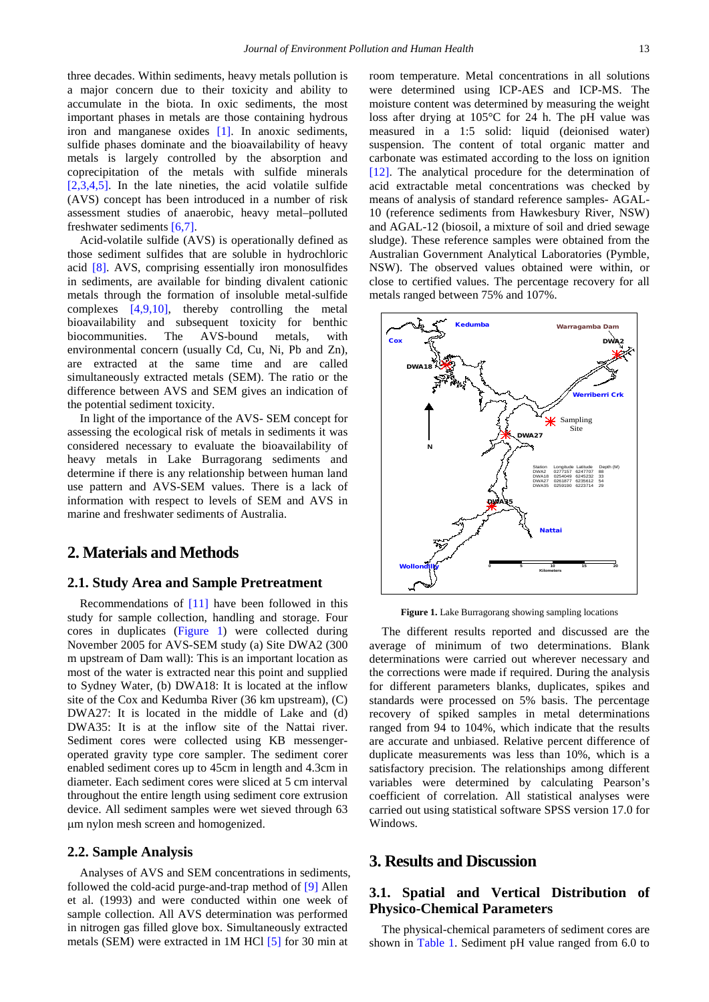three decades. Within sediments, heavy metals pollution is a major concern due to their toxicity and ability to accumulate in the biota. In oxic sediments, the most important phases in metals are those containing hydrous iron and manganese oxides [\[1\].](#page-5-0) In anoxic sediments, sulfide phases dominate and the bioavailability of heavy metals is largely controlled by the absorption and coprecipitation of the metals with sulfide minerals [\[2,3,4,5\].](#page-5-1) In the late nineties, the acid volatile sulfide (AVS) concept has been introduced in a number of risk assessment studies of anaerobic, heavy metal–polluted freshwater sediments [\[6,7\].](#page-5-2)

Acid-volatile sulfide (AVS) is operationally defined as those sediment sulfides that are soluble in hydrochloric acid [\[8\].](#page-5-3) AVS, comprising essentially iron monosulfides in sediments, are available for binding divalent cationic metals through the formation of insoluble metal-sulfide complexes [\[4,9,10\],](#page-5-4) thereby controlling the metal bioavailability and subsequent toxicity for benthic biocommunities. The AVS-bound metals, with environmental concern (usually Cd, Cu, Ni, Pb and Zn), are extracted at the same time and are called simultaneously extracted metals (SEM). The ratio or the difference between AVS and SEM gives an indication of the potential sediment toxicity.

In light of the importance of the AVS- SEM concept for assessing the ecological risk of metals in sediments it was considered necessary to evaluate the bioavailability of heavy metals in Lake Burragorang sediments and determine if there is any relationship between human land use pattern and AVS-SEM values. There is a lack of information with respect to levels of SEM and AVS in marine and freshwater sediments of Australia.

## **2. Materials and Methods**

#### **2.1. Study Area and Sample Pretreatment**

Recommendations of [\[11\]](#page-5-5) have been followed in this study for sample collection, handling and storage. Four cores in duplicates [\(Figure 1\)](#page-1-0) were collected during November 2005 for AVS-SEM study (a) Site DWA2 (300 m upstream of Dam wall): This is an important location as most of the water is extracted near this point and supplied to Sydney Water, (b) DWA18: It is located at the inflow site of the Cox and Kedumba River (36 km upstream), (C) DWA27: It is located in the middle of Lake and (d) DWA35: It is at the inflow site of the Nattai river. Sediment cores were collected using KB messengeroperated gravity type core sampler. The sediment corer enabled sediment cores up to 45cm in length and 4.3cm in diameter. Each sediment cores were sliced at 5 cm interval throughout the entire length using sediment core extrusion device. All sediment samples were wet sieved through 63 µm nylon mesh screen and homogenized.

#### **2.2. Sample Analysis**

Analyses of AVS and SEM concentrations in sediments, followed the cold-acid purge-and-trap method of [\[9\]](#page-5-6) Allen et al. (1993) and were conducted within one week of sample collection. All AVS determination was performed in nitrogen gas filled glove box. Simultaneously extracted metals (SEM) were extracted in 1M HCl [\[5\]](#page-5-7) for 30 min at

room temperature. Metal concentrations in all solutions were determined using ICP-AES and ICP-MS. The moisture content was determined by measuring the weight loss after drying at 105°C for 24 h. The pH value was measured in a 1:5 solid: liquid (deionised water) suspension. The content of total organic matter and carbonate was estimated according to the loss on ignition [\[12\].](#page-5-8) The analytical procedure for the determination of acid extractable metal concentrations was checked by means of analysis of standard reference samples- AGAL-10 (reference sediments from Hawkesbury River, NSW) and AGAL-12 (biosoil, a mixture of soil and dried sewage sludge). These reference samples were obtained from the Australian Government Analytical Laboratories (Pymble, NSW). The observed values obtained were within, or close to certified values. The percentage recovery for all metals ranged between 75% and 107%.

<span id="page-1-0"></span>

**Figure 1.** Lake Burragorang showing sampling locations

The different results reported and discussed are the average of minimum of two determinations. Blank determinations were carried out wherever necessary and the corrections were made if required. During the analysis for different parameters blanks, duplicates, spikes and standards were processed on 5% basis. The percentage recovery of spiked samples in metal determinations ranged from 94 to 104%, which indicate that the results are accurate and unbiased. Relative percent difference of duplicate measurements was less than 10%, which is a satisfactory precision. The relationships among different variables were determined by calculating Pearson's coefficient of correlation. All statistical analyses were carried out using statistical software SPSS version 17.0 for Windows.

#### **3. Results and Discussion**

## **3.1. Spatial and Vertical Distribution of Physico-Chemical Parameters**

The physical-chemical parameters of sediment cores are shown in [Table 1.](#page-2-0) Sediment pH value ranged from 6.0 to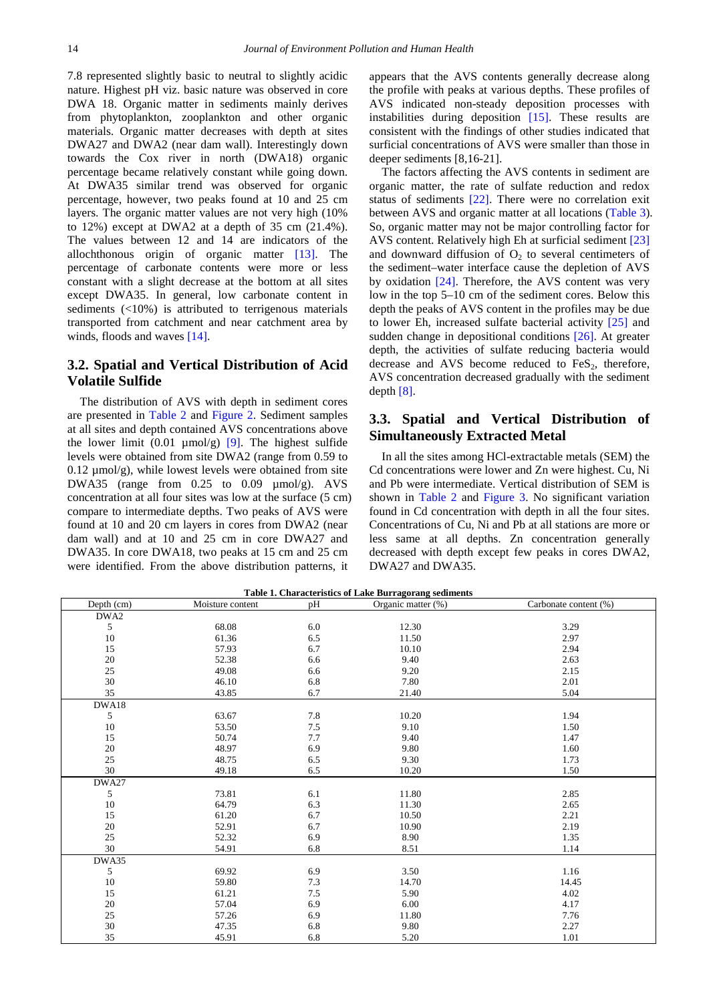7.8 represented slightly basic to neutral to slightly acidic nature. Highest pH viz. basic nature was observed in core DWA 18. Organic matter in sediments mainly derives from phytoplankton, zooplankton and other organic materials. Organic matter decreases with depth at sites DWA27 and DWA2 (near dam wall). Interestingly down towards the Cox river in north (DWA18) organic percentage became relatively constant while going down. At DWA35 similar trend was observed for organic percentage, however, two peaks found at 10 and 25 cm layers. The organic matter values are not very high (10% to 12%) except at DWA2 at a depth of 35 cm (21.4%). The values between 12 and 14 are indicators of the allochthonous origin of organic matter [\[13\].](#page-5-9) The percentage of carbonate contents were more or less constant with a slight decrease at the bottom at all sites except DWA35. In general, low carbonate content in sediments (<10%) is attributed to terrigenous materials transported from catchment and near catchment area by winds, floods and waves [\[14\].](#page-5-10)

#### **3.2. Spatial and Vertical Distribution of Acid Volatile Sulfide**

The distribution of AVS with depth in sediment cores are presented in [Table 2](#page-3-0) and [Figure 2.](#page-4-0) Sediment samples at all sites and depth contained AVS concentrations above the lower limit  $(0.01 \mu \text{mol/g})$  [\[9\].](#page-5-6) The highest sulfide levels were obtained from site DWA2 (range from 0.59 to  $0.12 \mu \text{mol/g}$ , while lowest levels were obtained from site DWA35 (range from 0.25 to 0.09  $\mu$ mol/g). AVS concentration at all four sites was low at the surface (5 cm) compare to intermediate depths. Two peaks of AVS were found at 10 and 20 cm layers in cores from DWA2 (near dam wall) and at 10 and 25 cm in core DWA27 and DWA35. In core DWA18, two peaks at 15 cm and 25 cm were identified. From the above distribution patterns, it

appears that the AVS contents generally decrease along the profile with peaks at various depths. These profiles of AVS indicated non-steady deposition processes with instabilities during deposition [\[15\].](#page-5-11) These results are consistent with the findings of other studies indicated that surficial concentrations of AVS were smaller than those in deeper sediments [8,16-21].

The factors affecting the AVS contents in sediment are organic matter, the rate of sulfate reduction and redox status of sediments [\[22\].](#page-5-12) There were no correlation exit between AVS and organic matter at all locations [\(Table 3\)](#page-3-1). So, organic matter may not be major controlling factor for AVS content. Relatively high Eh at surficial sediment [\[23\]](#page-5-13) and downward diffusion of  $O<sub>2</sub>$  to several centimeters of the sediment–water interface cause the depletion of AVS by oxidation [\[24\].](#page-5-14) Therefore, the AVS content was very low in the top 5–10 cm of the sediment cores. Below this depth the peaks of AVS content in the profiles may be due to lower Eh, increased sulfate bacterial activity [\[25\]](#page-5-15) and sudden change in depositional conditions [\[26\].](#page-5-16) At greater depth, the activities of sulfate reducing bacteria would decrease and AVS become reduced to  $FeS<sub>2</sub>$ , therefore, AVS concentration decreased gradually with the sediment depth [\[8\].](#page-5-3)

## **3.3. Spatial and Vertical Distribution of Simultaneously Extracted Metal**

In all the sites among HCl-extractable metals (SEM) the Cd concentrations were lower and Zn were highest. Cu, Ni and Pb were intermediate. Vertical distribution of SEM is shown in [Table 2](#page-3-0) and [Figure 3.](#page-4-1) No significant variation found in Cd concentration with depth in all the four sites. Concentrations of Cu, Ni and Pb at all stations are more or less same at all depths. Zn concentration generally decreased with depth except few peaks in cores DWA2, DWA27 and DWA35.

<span id="page-2-0"></span>

| Table 1. Characteristics of Lake Burragorang sediments |                  |     |                    |                       |  |  |
|--------------------------------------------------------|------------------|-----|--------------------|-----------------------|--|--|
| Depth (cm)                                             | Moisture content | pH  | Organic matter (%) | Carbonate content (%) |  |  |
| DWA2                                                   |                  |     |                    |                       |  |  |
| 5                                                      | 68.08            | 6.0 | 12.30              | 3.29                  |  |  |
| 10                                                     | 61.36            | 6.5 | 11.50              | 2.97                  |  |  |
| 15                                                     | 57.93            | 6.7 | 10.10              | 2.94                  |  |  |
| 20                                                     | 52.38            | 6.6 | 9.40               | 2.63                  |  |  |
| 25                                                     | 49.08            | 6.6 | 9.20               | 2.15                  |  |  |
| 30                                                     | 46.10            | 6.8 | 7.80               | 2.01                  |  |  |
| 35                                                     | 43.85            | 6.7 | 21.40              | 5.04                  |  |  |
| DWA18                                                  |                  |     |                    |                       |  |  |
| 5                                                      | 63.67            | 7.8 | 10.20              | 1.94                  |  |  |
| 10                                                     | 53.50            | 7.5 | 9.10               | 1.50                  |  |  |
| 15                                                     | 50.74            | 7.7 | 9.40               | 1.47                  |  |  |
| 20                                                     | 48.97            | 6.9 | 9.80               | 1.60                  |  |  |
| 25                                                     | 48.75            | 6.5 | 9.30               | 1.73                  |  |  |
| 30                                                     | 49.18            | 6.5 | 10.20              | 1.50                  |  |  |
| DWA27                                                  |                  |     |                    |                       |  |  |
| 5                                                      | 73.81            | 6.1 | 11.80              | 2.85                  |  |  |
| 10                                                     | 64.79            | 6.3 | 11.30              | 2.65                  |  |  |
| 15                                                     | 61.20            | 6.7 | 10.50              | 2.21                  |  |  |
| 20                                                     | 52.91            | 6.7 | 10.90              | 2.19                  |  |  |
| 25                                                     | 52.32            | 6.9 | 8.90               | 1.35                  |  |  |
| 30                                                     | 54.91            | 6.8 | 8.51               | 1.14                  |  |  |
| DWA35                                                  |                  |     |                    |                       |  |  |
| 5                                                      | 69.92            | 6.9 | 3.50               | 1.16                  |  |  |
| 10                                                     | 59.80            | 7.3 | 14.70              | 14.45                 |  |  |
| 15                                                     | 61.21            | 7.5 | 5.90               | 4.02                  |  |  |
| 20                                                     | 57.04            | 6.9 | 6.00               | 4.17                  |  |  |
| 25                                                     | 57.26            | 6.9 | 11.80              | 7.76                  |  |  |
| $30\,$                                                 | 47.35            | 6.8 | 9.80               | 2.27                  |  |  |
| 35                                                     | 45.91            | 6.8 | 5.20               | 1.01                  |  |  |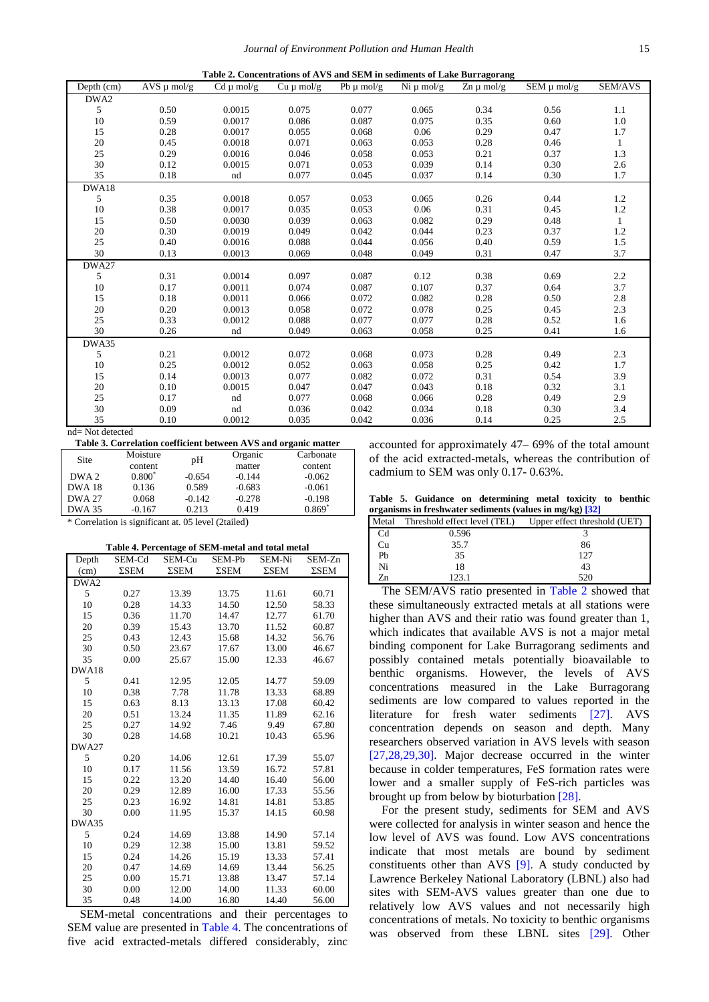<span id="page-3-0"></span>

|            | Table 2. Concentrations of AVS and SEM in sediments of Lake Burragorang |                |                |                |                |                               |                 |              |
|------------|-------------------------------------------------------------------------|----------------|----------------|----------------|----------------|-------------------------------|-----------------|--------------|
| Depth (cm) | $AVS \mu$ mol/g                                                         | $Cd \mu$ mol/g | $Cu \mu$ mol/g | Pb $\mu$ mol/g | Ni $\mu$ mol/g | $\text{Zn} \mu \text{ mol/g}$ | SEM $\mu$ mol/g | SEM/AVS      |
| DWA2       |                                                                         |                |                |                |                |                               |                 |              |
| 5          | 0.50                                                                    | 0.0015         | 0.075          | 0.077          | 0.065          | 0.34                          | 0.56            | 1.1          |
| 10         | 0.59                                                                    | 0.0017         | 0.086          | 0.087          | 0.075          | 0.35                          | 0.60            | 1.0          |
| 15         | 0.28                                                                    | 0.0017         | 0.055          | 0.068          | 0.06           | 0.29                          | 0.47            | 1.7          |
| 20         | 0.45                                                                    | 0.0018         | 0.071          | 0.063          | 0.053          | 0.28                          | 0.46            | $\mathbf{1}$ |
| 25         | 0.29                                                                    | 0.0016         | 0.046          | 0.058          | 0.053          | 0.21                          | 0.37            | 1.3          |
| 30         | 0.12                                                                    | 0.0015         | 0.071          | 0.053          | 0.039          | 0.14                          | 0.30            | 2.6          |
| 35         | 0.18                                                                    | nd             | 0.077          | 0.045          | 0.037          | 0.14                          | 0.30            | 1.7          |
| DWA18      |                                                                         |                |                |                |                |                               |                 |              |
| 5          | 0.35                                                                    | 0.0018         | 0.057          | 0.053          | 0.065          | 0.26                          | 0.44            | 1.2          |
| 10         | 0.38                                                                    | 0.0017         | 0.035          | 0.053          | 0.06           | 0.31                          | 0.45            | 1.2          |
| 15         | 0.50                                                                    | 0.0030         | 0.039          | 0.063          | 0.082          | 0.29                          | 0.48            | $\mathbf{1}$ |
| 20         | 0.30                                                                    | 0.0019         | 0.049          | 0.042          | 0.044          | 0.23                          | 0.37            | 1.2          |
| 25         | 0.40                                                                    | 0.0016         | 0.088          | 0.044          | 0.056          | 0.40                          | 0.59            | 1.5          |
| 30         | 0.13                                                                    | 0.0013         | 0.069          | 0.048          | 0.049          | 0.31                          | 0.47            | 3.7          |
| DWA27      |                                                                         |                |                |                |                |                               |                 |              |
| 5          | 0.31                                                                    | 0.0014         | 0.097          | 0.087          | 0.12           | 0.38                          | 0.69            | 2.2          |
| 10         | 0.17                                                                    | 0.0011         | 0.074          | 0.087          | 0.107          | 0.37                          | 0.64            | 3.7          |
| 15         | 0.18                                                                    | 0.0011         | 0.066          | 0.072          | 0.082          | 0.28                          | 0.50            | 2.8          |
| 20         | 0.20                                                                    | 0.0013         | 0.058          | 0.072          | 0.078          | 0.25                          | 0.45            | 2.3          |
| 25         | 0.33                                                                    | 0.0012         | 0.088          | 0.077          | 0.077          | 0.28                          | 0.52            | 1.6          |
| 30         | 0.26                                                                    | nd             | 0.049          | 0.063          | 0.058          | 0.25                          | 0.41            | 1.6          |
| DWA35      |                                                                         |                |                |                |                |                               |                 |              |
| 5          | 0.21                                                                    | 0.0012         | 0.072          | 0.068          | 0.073          | 0.28                          | 0.49            | 2.3          |
| 10         | 0.25                                                                    | 0.0012         | 0.052          | 0.063          | 0.058          | 0.25                          | 0.42            | 1.7          |
| 15         | 0.14                                                                    | 0.0013         | 0.077          | 0.082          | 0.072          | 0.31                          | 0.54            | 3.9          |
| 20         | 0.10                                                                    | 0.0015         | 0.047          | 0.047          | 0.043          | 0.18                          | 0.32            | 3.1          |
| 25         | 0.17                                                                    | nd             | 0.077          | 0.068          | 0.066          | 0.28                          | 0.49            | 2.9          |
| 30         | 0.09                                                                    | nd             | 0.036          | 0.042          | 0.034          | 0.18                          | 0.30            | 3.4          |
| 35         | 0.10                                                                    | 0.0012         | 0.035          | 0.042          | 0.036          | 0.14                          | 0.25            | 2.5          |

nd= Not detected

<span id="page-3-1"></span>

| Table 3. Correlation coefficient between AVS and organic matter |                |          |          |           |  |  |
|-----------------------------------------------------------------|----------------|----------|----------|-----------|--|--|
| <b>Site</b>                                                     | Moisture<br>pH |          | Organic  | Carbonate |  |  |
|                                                                 | content        |          | matter   | content   |  |  |
| DWA 2                                                           | $0.800*$       | $-0.654$ | $-0.144$ | $-0.062$  |  |  |
| <b>DWA18</b>                                                    | 0.136          | 0.589    | $-0.683$ | $-0.061$  |  |  |
| <b>DWA 27</b>                                                   | 0.068          | $-0.142$ | $-0.278$ | $-0.198$  |  |  |
| <b>DWA 35</b>                                                   | $-0.167$       | 0.213    | 0.419    | $0.869*$  |  |  |

\* Correlation is significant at. 05 level (2tailed)

| Table 4. Percentage of SEM-metal and total metal |
|--------------------------------------------------|
|                                                  |

<span id="page-3-2"></span>

| Depth            | SEM-Cd       | SEM-Cu       | SEM-Pb       | SEM-Ni       | SEM-Zn       |
|------------------|--------------|--------------|--------------|--------------|--------------|
| (cm)             | $\Sigma$ SEM | $\Sigma$ SEM | $\Sigma$ SEM | $\Sigma$ SEM | $\Sigma$ SEM |
| DWA <sub>2</sub> |              |              |              |              |              |
| 5                | 0.27         | 13.39        | 13.75        | 11.61        | 60.71        |
| 10               | 0.28         | 14.33        | 14.50        | 12.50        | 58.33        |
| 15               | 0.36         | 11.70        | 14.47        | 12.77        | 61.70        |
| 20               | 0.39         | 15.43        | 13.70        | 11.52        | 60.87        |
| 25               | 0.43         | 12.43        | 15.68        | 14.32        | 56.76        |
| 30               | 0.50         | 23.67        | 17.67        | 13.00        | 46.67        |
| 35               | 0.00         | 25.67        | 15.00        | 12.33        | 46.67        |
| DWA18            |              |              |              |              |              |
| 5                | 0.41         | 12.95        | 12.05        | 14.77        | 59.09        |
| 10               | 0.38         | 7.78         | 11.78        | 13.33        | 68.89        |
| 15               | 0.63         | 8.13         | 13.13        | 17.08        | 60.42        |
| 20               | 0.51         | 13.24        | 11.35        | 11.89        | 62.16        |
| 25               | 0.27         | 14.92        | 7.46         | 9.49         | 67.80        |
| 30               | 0.28         | 14.68        | 10.21        | 10.43        | 65.96        |
| DWA27            |              |              |              |              |              |
| 5                | 0.20         | 14.06        | 12.61        | 17.39        | 55.07        |
| 10               | 0.17         | 11.56        | 13.59        | 16.72        | 57.81        |
| 15               | 0.22         | 13.20        | 14.40        | 16.40        | 56.00        |
| 20               | 0.29         | 12.89        | 16.00        | 17.33        | 55.56        |
| 25               | 0.23         | 16.92        | 14.81        | 14.81        | 53.85        |
| 30               | 0.00         | 11.95        | 15.37        | 14.15        | 60.98        |
| DWA35            |              |              |              |              |              |
| 5                | 0.24         | 14.69        | 13.88        | 14.90        | 57.14        |
| 10               | 0.29         | 12.38        | 15.00        | 13.81        | 59.52        |
| 15               | 0.24         | 14.26        | 15.19        | 13.33        | 57.41        |
| 20               | 0.47         | 14.69        | 14.69        | 13.44        | 56.25        |
| 25               | 0.00         | 15.71        | 13.88        | 13.47        | 57.14        |
| 30               | 0.00         | 12.00        | 14.00        | 11.33        | 60.00        |
| 35               | 0.48         | 14.00        | 16.80        | 14.40        | 56.00        |

SEM-metal concentrations and their percentages to SEM value are presented i[n Table 4.](#page-3-2) The concentrations of five acid extracted-metals differed considerably, zinc accounted for approximately 47– 69% of the total amount of the acid extracted-metals, whereas the contribution of cadmium to SEM was only 0.17- 0.63%.

|  |  | Table 5. Guidance on determining metal toxicity to benthic            |  |  |
|--|--|-----------------------------------------------------------------------|--|--|
|  |  | organisms in freshwater sediments (values in mg/kg) $\left[32\right]$ |  |  |

<span id="page-3-3"></span>

| Metal   | Threshold effect level (TEL) | Upper effect threshold (UET) |
|---------|------------------------------|------------------------------|
| Cd      | 0.596                        |                              |
| Cu      | 35.7                         | 86                           |
| Pb      | 35                           | 127                          |
| Ni      | 18                           | 43                           |
| $Z_{n}$ | 123 1                        | 520                          |

The SEM/AVS ratio presented in [Table 2](#page-3-0) showed that these simultaneously extracted metals at all stations were higher than AVS and their ratio was found greater than 1, which indicates that available AVS is not a major metal binding component for Lake Burragorang sediments and possibly contained metals potentially bioavailable to benthic organisms. However, the levels of AVS concentrations measured in the Lake Burragorang sediments are low compared to values reported in the literature for fresh water sediments [\[27\].](#page-5-18) AVS concentration depends on season and depth. Many researchers observed variation in AVS levels with season [\[27,28,29,30\].](#page-5-18) Major decrease occurred in the winter because in colder temperatures, FeS formation rates were lower and a smaller supply of FeS-rich particles was brought up from below by bioturbation [\[28\].](#page-5-19)

For the present study, sediments for SEM and AVS were collected for analysis in winter season and hence the low level of AVS was found. Low AVS concentrations indicate that most metals are bound by sediment constituents other than AVS [\[9\].](#page-5-6) A study conducted by Lawrence Berkeley National Laboratory (LBNL) also had sites with SEM-AVS values greater than one due to relatively low AVS values and not necessarily high concentrations of metals. No toxicity to benthic organisms was observed from these LBNL sites [\[29\].](#page-5-20) Other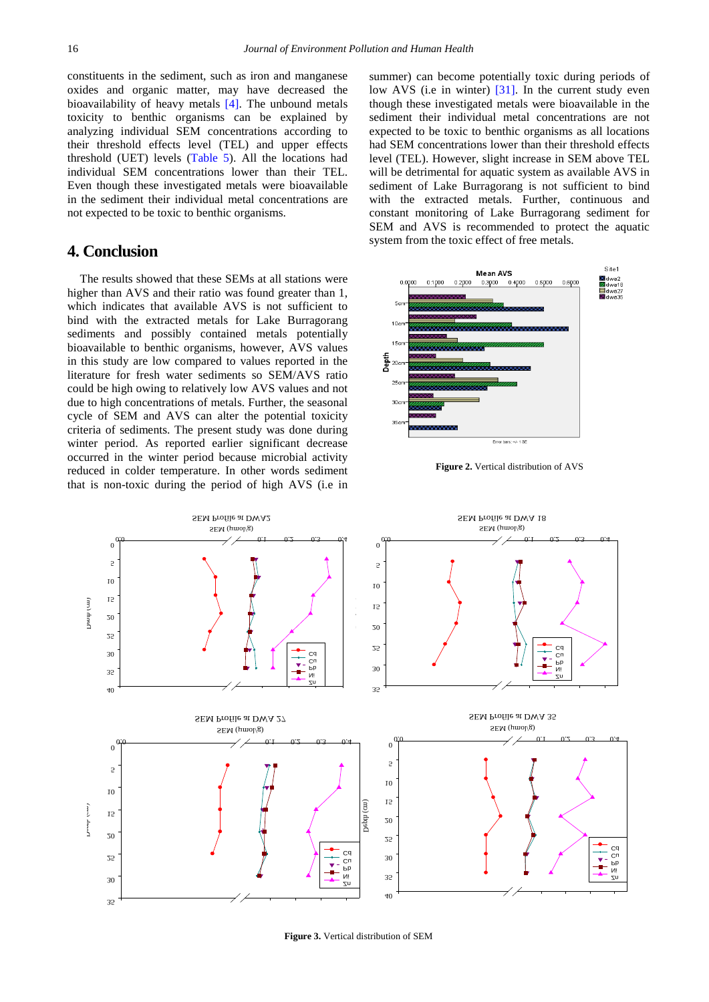constituents in the sediment, such as iron and manganese oxides and organic matter, may have decreased the bioavailability of heavy metals [\[4\].](#page-5-4) The unbound metals toxicity to benthic organisms can be explained by analyzing individual SEM concentrations according to their threshold effects level (TEL) and upper effects threshold (UET) levels [\(Table 5\)](#page-3-3). All the locations had individual SEM concentrations lower than their TEL. Even though these investigated metals were bioavailable in the sediment their individual metal concentrations are not expected to be toxic to benthic organisms.

#### **4. Conclusion**

The results showed that these SEMs at all stations were higher than AVS and their ratio was found greater than 1, which indicates that available AVS is not sufficient to bind with the extracted metals for Lake Burragorang sediments and possibly contained metals potentially bioavailable to benthic organisms, however, AVS values in this study are low compared to values reported in the literature for fresh water sediments so SEM/AVS ratio could be high owing to relatively low AVS values and not due to high concentrations of metals. Further, the seasonal cycle of SEM and AVS can alter the potential toxicity criteria of sediments. The present study was done during winter period. As reported earlier significant decrease occurred in the winter period because microbial activity reduced in colder temperature. In other words sediment that is non-toxic during the period of high AVS (i.e in summer) can become potentially toxic during periods of low AVS (i.e in winter) [\[31\].](#page-5-21) In the current study even though these investigated metals were bioavailable in the sediment their individual metal concentrations are not expected to be toxic to benthic organisms as all locations had SEM concentrations lower than their threshold effects level (TEL). However, slight increase in SEM above TEL will be detrimental for aquatic system as available AVS in sediment of Lake Burragorang is not sufficient to bind with the extracted metals. Further, continuous and constant monitoring of Lake Burragorang sediment for SEM and AVS is recommended to protect the aquatic system from the toxic effect of free metals.

<span id="page-4-0"></span>

**Figure 2.** Vertical distribution of AVS

<span id="page-4-1"></span>

**Figure 3.** Vertical distribution of SEM